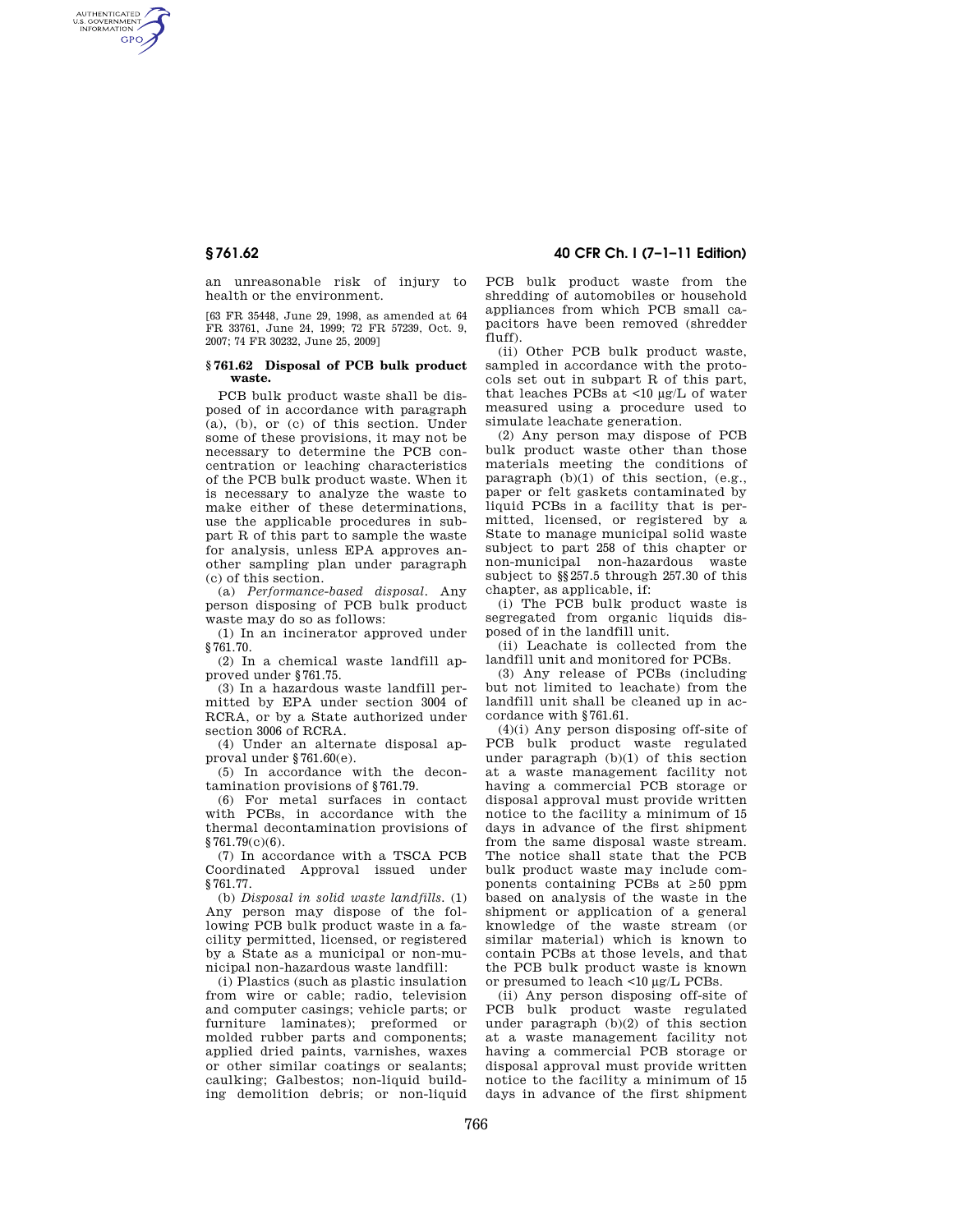AUTHENTICATED<br>U.S. GOVERNMENT<br>INFORMATION **GPO** 

> an unreasonable risk of injury to health or the environment.

> [63 FR 35448, June 29, 1998, as amended at 64 FR 33761, June 24, 1999; 72 FR 57239, Oct. 9, 2007; 74 FR 30232, June 25, 2009]

### **§ 761.62 Disposal of PCB bulk product waste.**

PCB bulk product waste shall be disposed of in accordance with paragraph (a), (b), or (c) of this section. Under some of these provisions, it may not be necessary to determine the PCB concentration or leaching characteristics of the PCB bulk product waste. When it is necessary to analyze the waste to make either of these determinations, use the applicable procedures in subpart R of this part to sample the waste for analysis, unless EPA approves another sampling plan under paragraph (c) of this section.

(a) *Performance-based disposal.* Any person disposing of PCB bulk product waste may do so as follows:

(1) In an incinerator approved under §761.70.

(2) In a chemical waste landfill approved under §761.75.

(3) In a hazardous waste landfill permitted by EPA under section 3004 of RCRA, or by a State authorized under section 3006 of RCRA.

(4) Under an alternate disposal approval under §761.60(e).

(5) In accordance with the decontamination provisions of §761.79.

(6) For metal surfaces in contact with PCBs, in accordance with the thermal decontamination provisions of §761.79(c)(6).

(7) In accordance with a TSCA PCB Coordinated Approval issued under §761.77.

(b) *Disposal in solid waste landfills.* (1) Any person may dispose of the following PCB bulk product waste in a facility permitted, licensed, or registered by a State as a municipal or non-municipal non-hazardous waste landfill:

(i) Plastics (such as plastic insulation from wire or cable; radio, television and computer casings; vehicle parts; or furniture laminates); preformed or molded rubber parts and components; applied dried paints, varnishes, waxes or other similar coatings or sealants; caulking; Galbestos; non-liquid building demolition debris; or non-liquid

# **§ 761.62 40 CFR Ch. I (7–1–11 Edition)**

PCB bulk product waste from the shredding of automobiles or household appliances from which PCB small capacitors have been removed (shredder fluff).

(ii) Other PCB bulk product waste, sampled in accordance with the protocols set out in subpart R of this part, that leaches PCBs at <10 μg/L of water measured using a procedure used to simulate leachate generation.

(2) Any person may dispose of PCB bulk product waste other than those materials meeting the conditions of paragraph  $(b)(1)$  of this section,  $(e.g.,)$ paper or felt gaskets contaminated by liquid PCBs in a facility that is permitted, licensed, or registered by a State to manage municipal solid waste subject to part 258 of this chapter or non-municipal non-hazardous waste subject to §§257.5 through 257.30 of this chapter, as applicable, if:

(i) The PCB bulk product waste is segregated from organic liquids disposed of in the landfill unit.

(ii) Leachate is collected from the landfill unit and monitored for PCBs.

(3) Any release of PCBs (including but not limited to leachate) from the landfill unit shall be cleaned up in accordance with §761.61.

(4)(i) Any person disposing off-site of PCB bulk product waste regulated under paragraph (b)(1) of this section at a waste management facility not having a commercial PCB storage or disposal approval must provide written notice to the facility a minimum of 15 days in advance of the first shipment from the same disposal waste stream. The notice shall state that the PCB bulk product waste may include components containing PCBs at  $\geq 50$  ppm based on analysis of the waste in the shipment or application of a general knowledge of the waste stream (or similar material) which is known to contain PCBs at those levels, and that the PCB bulk product waste is known or presumed to leach <10 μg/L PCBs.

(ii) Any person disposing off-site of PCB bulk product waste regulated under paragraph (b)(2) of this section at a waste management facility not having a commercial PCB storage or disposal approval must provide written notice to the facility a minimum of 15 days in advance of the first shipment